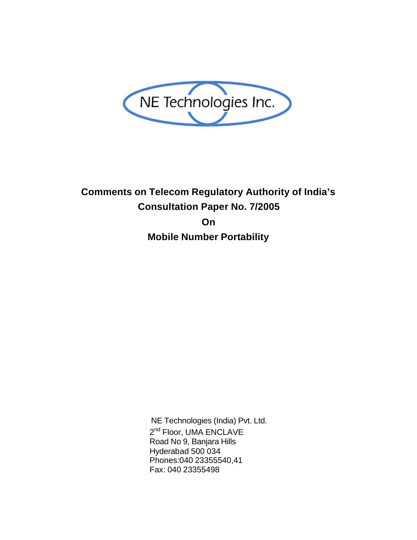

# **Comments on Telecom Regulatory Authority of India's Consultation Paper No. 7/2005 On Mobile Number Portability**

NE Technologies (India) Pvt. Ltd. 2<sup>nd</sup> Floor, UMA ENCLAVE Road No 9, Banjara Hills Hyderabad 500 034 Phones:040 23355540,41 Fax: 040 23355498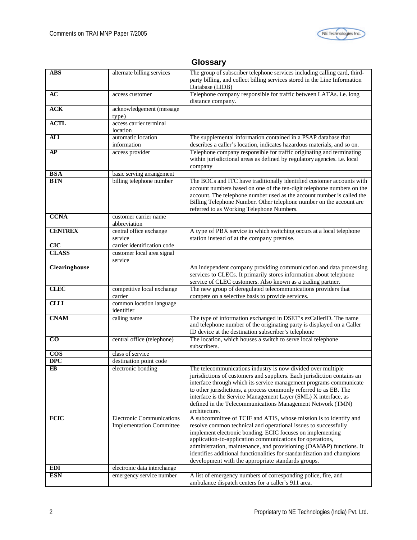

| <b>ABS</b>           | alternate billing services                                          | The group of subscriber telephone services including calling card, third-<br>party billing, and collect billing services stored in the Line Information<br>Database (LIDB)                                                                                                                                                                                                                                                                                              |  |
|----------------------|---------------------------------------------------------------------|-------------------------------------------------------------------------------------------------------------------------------------------------------------------------------------------------------------------------------------------------------------------------------------------------------------------------------------------------------------------------------------------------------------------------------------------------------------------------|--|
| AC                   | access customer                                                     | Telephone company responsible for traffic between LATAs. i.e. long<br>distance company.                                                                                                                                                                                                                                                                                                                                                                                 |  |
| <b>ACK</b>           | acknowledgement (message<br>type)                                   |                                                                                                                                                                                                                                                                                                                                                                                                                                                                         |  |
| <b>ACTL</b>          | access carrier terminal<br>location                                 |                                                                                                                                                                                                                                                                                                                                                                                                                                                                         |  |
| <b>ALI</b>           | automatic location                                                  | The supplemental information contained in a PSAP database that                                                                                                                                                                                                                                                                                                                                                                                                          |  |
|                      | information                                                         | describes a caller's location, indicates hazardous materials, and so on.                                                                                                                                                                                                                                                                                                                                                                                                |  |
| AP                   | access provider                                                     | Telephone company responsible for traffic originating and terminating<br>within jurisdictional areas as defined by regulatory agencies. i.e. local<br>company                                                                                                                                                                                                                                                                                                           |  |
| <b>BSA</b>           | basic serving arrangement                                           |                                                                                                                                                                                                                                                                                                                                                                                                                                                                         |  |
| <b>BTN</b>           | billing telephone number                                            | The BOCs and ITC have traditionally identified customer accounts with<br>account numbers based on one of the ten-digit telephone numbers on the<br>account. The telephone number used as the account number is called the<br>Billing Telephone Number. Other telephone number on the account are<br>referred to as Working Telephone Numbers.                                                                                                                           |  |
| <b>CCNA</b>          | customer carrier name<br>abbreviation                               |                                                                                                                                                                                                                                                                                                                                                                                                                                                                         |  |
| <b>CENTREX</b>       | central office exchange<br>service                                  | A type of PBX service in which switching occurs at a local telephone<br>station instead of at the company premise.                                                                                                                                                                                                                                                                                                                                                      |  |
| <b>CIC</b>           | carrier identification code                                         |                                                                                                                                                                                                                                                                                                                                                                                                                                                                         |  |
| <b>CLASS</b>         | customer local area signal<br>service                               |                                                                                                                                                                                                                                                                                                                                                                                                                                                                         |  |
| <b>Clearinghouse</b> |                                                                     | An independent company providing communication and data processing<br>services to CLECs. It primarily stores information about telephone<br>service of CLEC customers. Also known as a trading partner.                                                                                                                                                                                                                                                                 |  |
| <b>CLEC</b>          | competitive local exchange<br>carrier                               | The new group of deregulated telecommunications providers that<br>compete on a selective basis to provide services.                                                                                                                                                                                                                                                                                                                                                     |  |
| <b>CLLI</b>          | common location language<br>identifier                              |                                                                                                                                                                                                                                                                                                                                                                                                                                                                         |  |
| <b>CNAM</b>          | calling name                                                        | The type of information exchanged in DSET's ezCallerID. The name<br>and telephone number of the originating party is displayed on a Caller<br>ID device at the destination subscriber's telephone                                                                                                                                                                                                                                                                       |  |
| $\overline{co}$      | central office (telephone)                                          | The location, which houses a switch to serve local telephone<br>subscribers.                                                                                                                                                                                                                                                                                                                                                                                            |  |
| $\overline{\cos}$    | class of service                                                    |                                                                                                                                                                                                                                                                                                                                                                                                                                                                         |  |
| <b>DPC</b>           | destination point code                                              |                                                                                                                                                                                                                                                                                                                                                                                                                                                                         |  |
| EB                   | electronic bonding                                                  | The telecommunications industry is now divided over multiple<br>jurisdictions of customers and suppliers. Each jurisdiction contains an<br>interface through which its service management programs communicate<br>to other jurisdictions, a process commonly referred to as EB. The<br>interface is the Service Management Layer (SML) X interface, as<br>defined in the Telecommunications Management Network (TMN)<br>architecture.                                   |  |
| <b>ECIC</b>          | <b>Electronic Communications</b><br><b>Implementation Committee</b> | A subcommittee of TCIF and ATIS, whose mission is to identify and<br>resolve common technical and operational issues to successfully<br>implement electronic bonding. ECIC focuses on implementing<br>application-to-application communications for operations,<br>administration, maintenance, and provisioning (OAM&P) functions. It<br>identifies additional functionalities for standardization and champions<br>development with the appropriate standards groups. |  |
| <b>EDI</b>           | electronic data interchange                                         |                                                                                                                                                                                                                                                                                                                                                                                                                                                                         |  |
| <b>ESN</b>           | emergency service number                                            | A list of emergency numbers of corresponding police, fire, and<br>ambulance dispatch centers for a caller's 911 area.                                                                                                                                                                                                                                                                                                                                                   |  |

# **Glossary**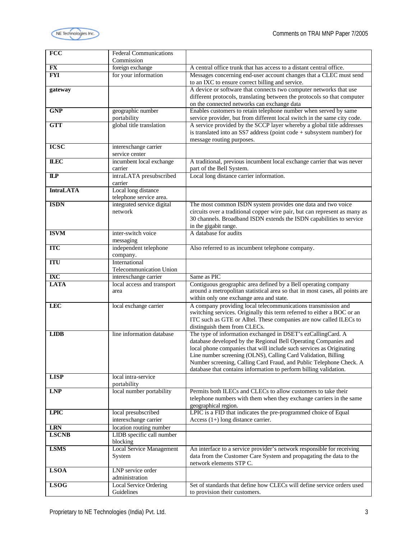

| FCC                                | <b>Federal Communications</b>               |                                                                                                                                                |  |
|------------------------------------|---------------------------------------------|------------------------------------------------------------------------------------------------------------------------------------------------|--|
|                                    | Commission                                  |                                                                                                                                                |  |
| FX                                 | foreign exchange                            | A central office trunk that has access to a distant central office.                                                                            |  |
| <b>FYI</b>                         | for your information                        | Messages concerning end-user account changes that a CLEC must send<br>to an IXC to ensure correct billing and service.                         |  |
| gateway                            |                                             | A device or software that connects two computer networks that use                                                                              |  |
|                                    |                                             | different protocols, translating between the protocols so that computer                                                                        |  |
|                                    |                                             | on the connected networks can exchange data                                                                                                    |  |
| <b>GNP</b>                         | geographic number                           | Enables customers to retain telephone number when served by same                                                                               |  |
|                                    | portability                                 | service provider, but from different local switch in the same city code.                                                                       |  |
| <b>GTT</b>                         | global title translation                    | A service provided by the SCCP layer whereby a global title addresses                                                                          |  |
|                                    |                                             | is translated into an SS7 address (point code $+$ subsystem number) for                                                                        |  |
| <b>ICSC</b>                        |                                             | message routing purposes.                                                                                                                      |  |
|                                    | interexchange carrier<br>service center     |                                                                                                                                                |  |
| <b>ILEC</b>                        | incumbent local exchange                    | A traditional, previous incumbent local exchange carrier that was never                                                                        |  |
|                                    | carrier                                     | part of the Bell System.                                                                                                                       |  |
| $\mathbf{I} \mathbf{L} \mathbf{P}$ | intraLATA presubscribed                     | Local long distance carrier information.                                                                                                       |  |
|                                    | carrier                                     |                                                                                                                                                |  |
| <b>IntraLATA</b>                   | Local long distance                         |                                                                                                                                                |  |
|                                    | telephone service area.                     |                                                                                                                                                |  |
| <b>ISDN</b>                        | integrated service digital                  | The most common ISDN system provides one data and two voice                                                                                    |  |
|                                    | network                                     | circuits over a traditional copper wire pair, but can represent as many as                                                                     |  |
|                                    |                                             | 30 channels. Broadband ISDN extends the ISDN capabilities to service                                                                           |  |
|                                    |                                             | in the gigabit range.                                                                                                                          |  |
| <b>ISVM</b>                        | inter-switch voice                          | A database for audits                                                                                                                          |  |
|                                    | messaging                                   |                                                                                                                                                |  |
| <b>ITC</b>                         | independent telephone                       | Also referred to as incumbent telephone company.                                                                                               |  |
|                                    | company.                                    |                                                                                                                                                |  |
| <b>ITU</b>                         | International                               |                                                                                                                                                |  |
|                                    | Telecommunication Union                     |                                                                                                                                                |  |
| IXC                                | interexchange carrier                       | Same as PIC                                                                                                                                    |  |
| <b>LATA</b>                        | local access and transport                  | Contiguous geographic area defined by a Bell operating company<br>around a metropolitan statistical area so that in most cases, all points are |  |
|                                    | area                                        | within only one exchange area and state.                                                                                                       |  |
| <b>LEC</b>                         | local exchange carrier                      | A company providing local telecommunications transmission and                                                                                  |  |
|                                    |                                             | switching services. Originally this term referred to either a BOC or an                                                                        |  |
|                                    |                                             | ITC such as GTE or Alltel. These companies are now called ILECs to                                                                             |  |
|                                    |                                             | distinguish them from CLECs.                                                                                                                   |  |
| <b>LIDB</b>                        | line information database                   | The type of information exchanged in DSET's ezCallingCard. A                                                                                   |  |
|                                    |                                             | database developed by the Regional Bell Operating Companies and                                                                                |  |
|                                    |                                             | local phone companies that will include such services as Originating                                                                           |  |
|                                    |                                             | Line number screening (OLNS), Calling Card Validation, Billing                                                                                 |  |
|                                    |                                             | Number screening, Calling Card Fraud, and Public Telephone Check. A                                                                            |  |
|                                    |                                             | database that contains information to perform billing validation.                                                                              |  |
| <b>LISP</b>                        | local intra-service                         |                                                                                                                                                |  |
| <b>LNP</b>                         | portability<br>local number portability     | Permits both ILECs and CLECs to allow customers to take their                                                                                  |  |
|                                    |                                             | telephone numbers with them when they exchange carriers in the same                                                                            |  |
|                                    |                                             | geographical region.                                                                                                                           |  |
| <b>LPIC</b>                        | local presubscribed                         | LPIC is a FID that indicates the pre-programmed choice of Equal                                                                                |  |
|                                    | interexchange carrier                       | Access $(1+)$ long distance carrier.                                                                                                           |  |
| <b>LRN</b>                         | location routing number                     |                                                                                                                                                |  |
| <b>LSCNB</b>                       | LIDB specific call number                   |                                                                                                                                                |  |
|                                    | blocking                                    |                                                                                                                                                |  |
| <b>LSMS</b>                        | <b>Local Service Management</b>             | An interface to a service provider's network responsible for receiving                                                                         |  |
|                                    | System                                      | data from the Customer Care System and propagating the data to the                                                                             |  |
|                                    |                                             | network elements STP C.                                                                                                                        |  |
| <b>LSOA</b>                        | LNP service order                           |                                                                                                                                                |  |
|                                    |                                             |                                                                                                                                                |  |
|                                    | administration                              |                                                                                                                                                |  |
| <b>LSOG</b>                        | <b>Local Service Ordering</b><br>Guidelines | Set of standards that define how CLECs will define service orders used<br>to provision their customers.                                        |  |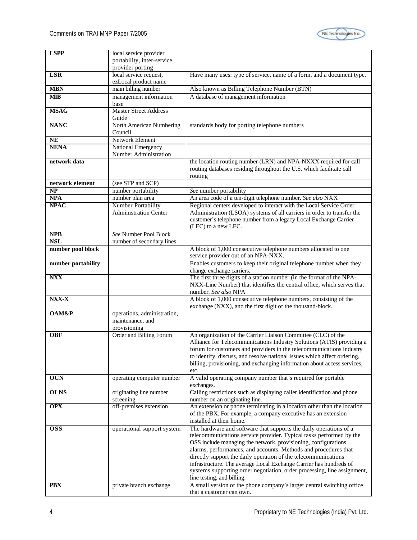

| <b>LSPP</b>              | local service provider                                          |                                                                                                                                                                                                                                                                                                                                                                                                                                                                                                                                                                                                            |  |
|--------------------------|-----------------------------------------------------------------|------------------------------------------------------------------------------------------------------------------------------------------------------------------------------------------------------------------------------------------------------------------------------------------------------------------------------------------------------------------------------------------------------------------------------------------------------------------------------------------------------------------------------------------------------------------------------------------------------------|--|
|                          | portability, inter-service                                      |                                                                                                                                                                                                                                                                                                                                                                                                                                                                                                                                                                                                            |  |
|                          | provider porting                                                |                                                                                                                                                                                                                                                                                                                                                                                                                                                                                                                                                                                                            |  |
| <b>LSR</b>               | local service request,<br>ezLocal product name                  | Have many uses: type of service, name of a form, and a document type.                                                                                                                                                                                                                                                                                                                                                                                                                                                                                                                                      |  |
| <b>MBN</b>               | main billing number                                             | Also known as Billing Telephone Number (BTN)                                                                                                                                                                                                                                                                                                                                                                                                                                                                                                                                                               |  |
| <b>MIB</b>               | management information<br>base                                  | A database of management information                                                                                                                                                                                                                                                                                                                                                                                                                                                                                                                                                                       |  |
| <b>MSAG</b>              | <b>Master Street Address</b><br>Guide                           |                                                                                                                                                                                                                                                                                                                                                                                                                                                                                                                                                                                                            |  |
| <b>NANC</b>              | North American Numbering<br>Council                             | standards body for porting telephone numbers                                                                                                                                                                                                                                                                                                                                                                                                                                                                                                                                                               |  |
| $N\overline{E}$          | Network Element                                                 |                                                                                                                                                                                                                                                                                                                                                                                                                                                                                                                                                                                                            |  |
| <b>NENA</b>              | <b>National Emergency</b><br>Number Administration              |                                                                                                                                                                                                                                                                                                                                                                                                                                                                                                                                                                                                            |  |
| network data             |                                                                 | the location routing number (LRN) and NPA-NXXX required for call<br>routing databases residing throughout the U.S. which facilitate call<br>routing                                                                                                                                                                                                                                                                                                                                                                                                                                                        |  |
| network element          | (see STP and SCP)                                               |                                                                                                                                                                                                                                                                                                                                                                                                                                                                                                                                                                                                            |  |
| $\overline{\text{NP}}$   | number portability                                              | See number portability                                                                                                                                                                                                                                                                                                                                                                                                                                                                                                                                                                                     |  |
| <b>NPA</b>               | number plan area                                                | An area code of a ten-digit telephone number. See also NXX                                                                                                                                                                                                                                                                                                                                                                                                                                                                                                                                                 |  |
| <b>NPAC</b>              | Number Portability<br><b>Administration Center</b>              | Regional centers developed to interact with the Local Service Order<br>Administration (LSOA) systems of all carriers in order to transfer the<br>customer's telephone number from a legacy Local Exchange Carrier<br>(LEC) to a new LEC.                                                                                                                                                                                                                                                                                                                                                                   |  |
| <b>NPB</b>               | See Number Pool Block                                           |                                                                                                                                                                                                                                                                                                                                                                                                                                                                                                                                                                                                            |  |
| <b>NSL</b>               | number of secondary lines                                       |                                                                                                                                                                                                                                                                                                                                                                                                                                                                                                                                                                                                            |  |
| number pool block        |                                                                 | A block of 1,000 consecutive telephone numbers allocated to one<br>service provider out of an NPA-NXX.                                                                                                                                                                                                                                                                                                                                                                                                                                                                                                     |  |
| number portability       |                                                                 | Enables customers to keep their original telephone number when they<br>change exchange carriers.                                                                                                                                                                                                                                                                                                                                                                                                                                                                                                           |  |
| <b>NXX</b>               |                                                                 | The first three digits of a station number (in the format of the NPA-<br>NXX-Line Number) that identifies the central office, which serves that<br>number. See also NPA                                                                                                                                                                                                                                                                                                                                                                                                                                    |  |
| NXX-X                    |                                                                 | A block of 1,000 consecutive telephone numbers, consisting of the<br>exchange (NXX), and the first digit of the thousand-block.                                                                                                                                                                                                                                                                                                                                                                                                                                                                            |  |
| <b>OAM&amp;P</b>         | operations, administration,<br>maintenance, and<br>provisioning |                                                                                                                                                                                                                                                                                                                                                                                                                                                                                                                                                                                                            |  |
| <b>OBF</b>               | Order and Billing Forum                                         | An organization of the Carrier Liaison Committee (CLC) of the<br>Alliance for Telecommunications Industry Solutions (ATIS) providing a<br>forum for customers and providers in the telecommunications industry<br>to identify, discuss, and resolve national issues which affect ordering,<br>billing, provisioning, and exchanging information about access services,<br>etc.                                                                                                                                                                                                                             |  |
| OCN                      | operating computer number                                       | A valid operating company number that's required for portable<br>exchanges.                                                                                                                                                                                                                                                                                                                                                                                                                                                                                                                                |  |
| <b>OLNS</b>              | originating line number<br>screening                            | Calling restrictions such as displaying caller identification and phone<br>number on an originating line.                                                                                                                                                                                                                                                                                                                                                                                                                                                                                                  |  |
| <b>OPX</b>               | off-premises extension                                          | An extension or phone terminating in a location other than the location<br>of the PBX. For example, a company executive has an extension<br>installed at their home.                                                                                                                                                                                                                                                                                                                                                                                                                                       |  |
| <b>OSS</b><br><b>PBX</b> | operational support system<br>private branch exchange           | The hardware and software that supports the daily operations of a<br>telecommunications service provider. Typical tasks performed by the<br>OSS include managing the network, provisioning, configurations,<br>alarms, performances, and accounts. Methods and procedures that<br>directly support the daily operation of the telecommunications<br>infrastructure. The average Local Exchange Carrier has hundreds of<br>systems supporting order negotiation, order processing, line assignment,<br>line testing, and billing.<br>A small version of the phone company's larger central switching office |  |
|                          |                                                                 | that a customer can own.                                                                                                                                                                                                                                                                                                                                                                                                                                                                                                                                                                                   |  |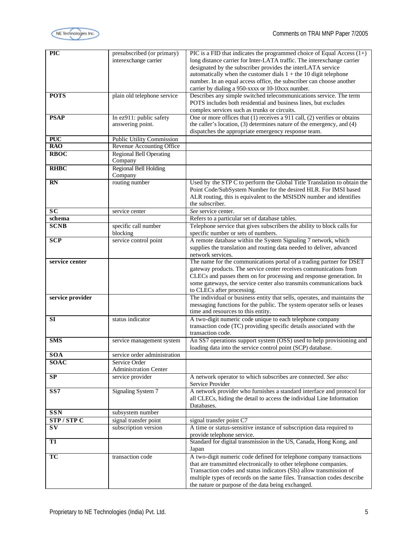

| <b>PIC</b>                        | presubscribed (or primary)<br>interexchange carrier | PIC is a FID that indicates the programmed choice of Equal Access $(1+)$<br>long distance carrier for Inter-LATA traffic. The interexchange carrier<br>designated by the subscriber provides the interLATA service<br>automatically when the customer dials $1 +$ the 10 digit telephone<br>number. In an equal access office, the subscriber can choose another<br>carrier by dialing a 950-xxxx or 10-10xxx number. |  |
|-----------------------------------|-----------------------------------------------------|-----------------------------------------------------------------------------------------------------------------------------------------------------------------------------------------------------------------------------------------------------------------------------------------------------------------------------------------------------------------------------------------------------------------------|--|
| <b>POTS</b>                       | plain old telephone service                         | Describes any simple switched telecommunications service. The term<br>POTS includes both residential and business lines, but excludes<br>complex services such as trunks or circuits.                                                                                                                                                                                                                                 |  |
| <b>PSAP</b>                       | In ez911: public safety<br>answering point.         | One or more offices that $(1)$ receives a 911 call, $(2)$ verifies or obtains<br>the caller's location, (3) determines nature of the emergency, and (4)<br>dispatches the appropriate emergency response team.                                                                                                                                                                                                        |  |
| <b>PUC</b>                        | <b>Public Utility Commission</b>                    |                                                                                                                                                                                                                                                                                                                                                                                                                       |  |
| <b>RAO</b>                        | Revenue Accounting Office                           |                                                                                                                                                                                                                                                                                                                                                                                                                       |  |
| <b>RBOC</b>                       | <b>Regional Bell Operating</b><br>Company           |                                                                                                                                                                                                                                                                                                                                                                                                                       |  |
| <b>RHBC</b>                       | <b>Regional Bell Holding</b><br>Company             |                                                                                                                                                                                                                                                                                                                                                                                                                       |  |
| <b>RN</b>                         | routing number                                      | Used by the STP C to perform the Global Title Translation to obtain the<br>Point Code/SubSystem Number for the desired HLR. For IMSI based<br>ALR routing, this is equivalent to the MSISDN number and identifies<br>the subscriber.                                                                                                                                                                                  |  |
| $\overline{\mathbf{S}}\mathbf{C}$ | service center                                      | See service center.                                                                                                                                                                                                                                                                                                                                                                                                   |  |
| schema                            |                                                     | Refers to a particular set of database tables.                                                                                                                                                                                                                                                                                                                                                                        |  |
| <b>SCNB</b>                       | specific call number<br>blocking                    | Telephone service that gives subscribers the ability to block calls for<br>specific number or sets of numbers.                                                                                                                                                                                                                                                                                                        |  |
| SCP                               | service control point                               | A remote database within the System Signaling 7 network, which<br>supplies the translation and routing data needed to deliver, advanced<br>network services.                                                                                                                                                                                                                                                          |  |
| service center                    |                                                     | The name for the communications portal of a trading partner for DSET<br>gateway products. The service center receives communications from<br>CLECs and passes them on for processing and response generation. In<br>some gateways, the service center also transmits communications back<br>to CLECs after processing.                                                                                                |  |
| service provider                  |                                                     | The individual or business entity that sells, operates, and maintains the<br>messaging functions for the public. The system operator sells or leases<br>time and resources to this entity.                                                                                                                                                                                                                            |  |
| SI                                | status indicator                                    | A two-digit numeric code unique to each telephone company<br>transaction code (TC) providing specific details associated with the<br>transaction code.                                                                                                                                                                                                                                                                |  |
| <b>SMS</b>                        | service management system                           | An SS7 operations support system (OSS) used to help provisioning and<br>loading data into the service control point (SCP) database.                                                                                                                                                                                                                                                                                   |  |
| SOA                               | service order administration                        |                                                                                                                                                                                                                                                                                                                                                                                                                       |  |
| <b>SOAC</b>                       | Service Order<br><b>Administration Center</b>       |                                                                                                                                                                                                                                                                                                                                                                                                                       |  |
| SP                                | service provider                                    | A network operator to which subscribes are connected. See also:<br>Service Provider                                                                                                                                                                                                                                                                                                                                   |  |
| $\overline{\text{SS}7}$           | <b>Signaling System 7</b>                           | A network provider who furnishes a standard interface and protocol for<br>all CLECs, hiding the detail to access the individual Line Information<br>Databases.                                                                                                                                                                                                                                                        |  |
| <b>SSN</b>                        | subsystem number                                    |                                                                                                                                                                                                                                                                                                                                                                                                                       |  |
| <b>STP/STPC</b>                   | signal transfer point                               | signal transfer point C7                                                                                                                                                                                                                                                                                                                                                                                              |  |
| $S_{V}$                           | subscription version                                | A time or status-sensitive instance of subscription data required to<br>provide telephone service.                                                                                                                                                                                                                                                                                                                    |  |
| <b>T1</b>                         |                                                     | Standard for digital transmission in the US, Canada, Hong Kong, and<br>Japan                                                                                                                                                                                                                                                                                                                                          |  |
| TC                                | transaction code                                    | A two-digit numeric code defined for telephone company transactions<br>that are transmitted electronically to other telephone companies.<br>Transaction codes and status indicators (SIs) allow transmission of<br>multiple types of records on the same files. Transaction codes describe<br>the nature or purpose of the data being exchanged.                                                                      |  |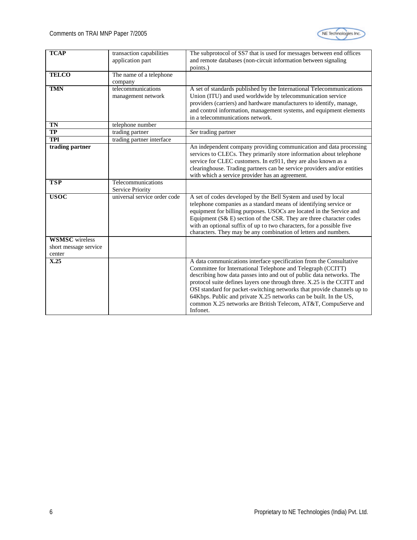

| <b>TCAP</b>                                              | transaction capabilities<br>application part | The subprotocol of SS7 that is used for messages between end offices<br>and remote databases (non-circuit information between signaling                                                                                                                                                                                                                                                                                                                                                                           |
|----------------------------------------------------------|----------------------------------------------|-------------------------------------------------------------------------------------------------------------------------------------------------------------------------------------------------------------------------------------------------------------------------------------------------------------------------------------------------------------------------------------------------------------------------------------------------------------------------------------------------------------------|
|                                                          |                                              | points.)                                                                                                                                                                                                                                                                                                                                                                                                                                                                                                          |
| <b>TELCO</b>                                             | The name of a telephone<br>company           |                                                                                                                                                                                                                                                                                                                                                                                                                                                                                                                   |
| <b>TMN</b>                                               | telecommunications<br>management network     | A set of standards published by the International Telecommunications<br>Union (ITU) and used worldwide by telecommunication service<br>providers (carriers) and hardware manufacturers to identify, manage,<br>and control information, management systems, and equipment elements<br>in a telecommunications network.                                                                                                                                                                                            |
| <b>TN</b>                                                | telephone number                             |                                                                                                                                                                                                                                                                                                                                                                                                                                                                                                                   |
| TP                                                       | trading partner                              | See trading partner                                                                                                                                                                                                                                                                                                                                                                                                                                                                                               |
| <b>TPI</b>                                               | trading partner interface                    |                                                                                                                                                                                                                                                                                                                                                                                                                                                                                                                   |
| trading partner                                          |                                              | An independent company providing communication and data processing<br>services to CLECs. They primarily store information about telephone<br>service for CLEC customers. In ez911, they are also known as a<br>clearinghouse. Trading partners can be service providers and/or entities<br>with which a service provider has an agreement.                                                                                                                                                                        |
| <b>TSP</b>                                               | Telecommunications<br>Service Priority       |                                                                                                                                                                                                                                                                                                                                                                                                                                                                                                                   |
| <b>USOC</b>                                              | universal service order code                 | A set of codes developed by the Bell System and used by local<br>telephone companies as a standard means of identifying service or<br>equipment for billing purposes. USOCs are located in the Service and<br>Equipment (S& E) section of the CSR. They are three character codes<br>with an optional suffix of up to two characters, for a possible five<br>characters. They may be any combination of letters and numbers.                                                                                      |
| <b>WSMSC</b> wireless<br>short message service<br>center |                                              |                                                                                                                                                                                                                                                                                                                                                                                                                                                                                                                   |
| X.25                                                     |                                              | A data communications interface specification from the Consultative<br>Committee for International Telephone and Telegraph (CCITT)<br>describing how data passes into and out of public data networks. The<br>protocol suite defines layers one through three. X.25 is the CCITT and<br>OSI standard for packet-switching networks that provide channels up to<br>64Kbps. Public and private X.25 networks can be built. In the US,<br>common X.25 networks are British Telecom, AT&T, CompuServe and<br>Infonet. |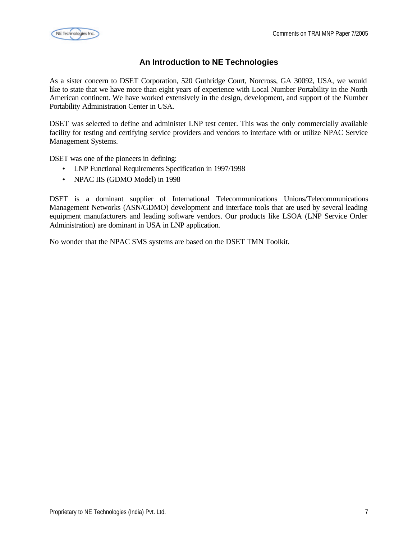

## **An Introduction to NE Technologies**

As a sister concern to DSET Corporation, 520 Guthridge Court, Norcross, GA 30092, USA, we would like to state that we have more than eight years of experience with Local Number Portability in the North American continent. We have worked extensively in the design, development, and support of the Number Portability Administration Center in USA.

DSET was selected to define and administer LNP test center. This was the only commercially available facility for testing and certifying service providers and vendors to interface with or utilize NPAC Service Management Systems.

DSET was one of the pioneers in defining:

- LNP Functional Requirements Specification in 1997/1998
- NPAC IIS (GDMO Model) in 1998

DSET is a dominant supplier of International Telecommunications Unions/Telecommunications Management Networks (ASN/GDMO) development and interface tools that are used by several leading equipment manufacturers and leading software vendors. Our products like LSOA (LNP Service Order Administration) are dominant in USA in LNP application.

No wonder that the NPAC SMS systems are based on the DSET TMN Toolkit.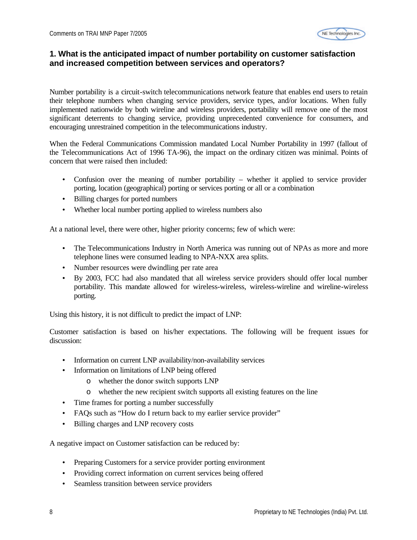

#### **1. What is the anticipated impact of number portability on customer satisfaction and increased competition between services and operators?**

Number portability is a circuit-switch telecommunications network feature that enables end users to retain their telephone numbers when changing service providers, service types, and/or locations. When fully implemented nationwide by both wireline and wireless providers, portability will remove one of the most significant deterrents to changing service, providing unprecedented convenience for consumers, and encouraging unrestrained competition in the telecommunications industry.

When the Federal Communications Commission mandated Local Number Portability in 1997 (fallout of the Telecommunications Act of 1996 TA-96), the impact on the ordinary citizen was minimal. Points of concern that were raised then included:

- Confusion over the meaning of number portability whether it applied to service provider porting, location (geographical) porting or services porting or all or a combination
- Billing charges for ported numbers
- Whether local number porting applied to wireless numbers also

At a national level, there were other, higher priority concerns; few of which were:

- The Telecommunications Industry in North America was running out of NPAs as more and more telephone lines were consumed leading to NPA-NXX area splits.
- Number resources were dwindling per rate area
- By 2003, FCC had also mandated that all wireless service providers should offer local number portability. This mandate allowed for wireless-wireless, wireless-wireline and wireline-wireless porting.

Using this history, it is not difficult to predict the impact of LNP:

Customer satisfaction is based on his/her expectations. The following will be frequent issues for discussion:

- Information on current LNP availability/non-availability services
- Information on limitations of LNP being offered
	- o whether the donor switch supports LNP
	- o whether the new recipient switch supports all existing features on the line
- Time frames for porting a number successfully
- FAQs such as "How do I return back to my earlier service provider"
- Billing charges and LNP recovery costs

A negative impact on Customer satisfaction can be reduced by:

- Preparing Customers for a service provider porting environment
- Providing correct information on current services being offered
- Seamless transition between service providers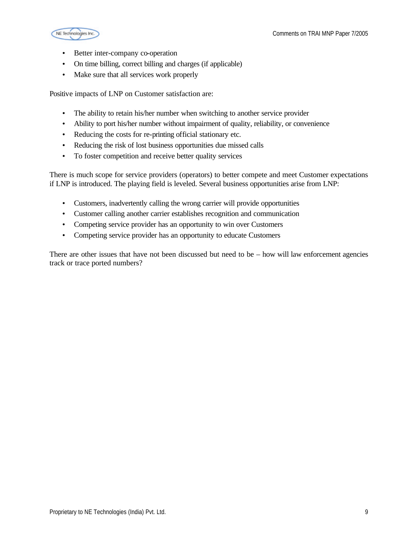

- Better inter-company co-operation
- On time billing, correct billing and charges (if applicable)
- Make sure that all services work properly

Positive impacts of LNP on Customer satisfaction are:

- The ability to retain his/her number when switching to another service provider
- Ability to port his/her number without impairment of quality, reliability, or convenience
- Reducing the costs for re-printing official stationary etc.
- Reducing the risk of lost business opportunities due missed calls
- To foster competition and receive better quality services

There is much scope for service providers (operators) to better compete and meet Customer expectations if LNP is introduced. The playing field is leveled. Several business opportunities arise from LNP:

- Customers, inadvertently calling the wrong carrier will provide opportunities
- Customer calling another carrier establishes recognition and communication
- Competing service provider has an opportunity to win over Customers
- Competing service provider has an opportunity to educate Customers

There are other issues that have not been discussed but need to be  $-$  how will law enforcement agencies track or trace ported numbers?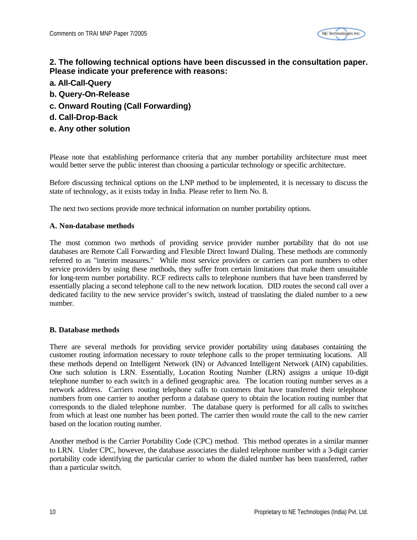

#### **2. The following technical options have been discussed in the consultation paper. Please indicate your preference with reasons:**

- **a. All-Call-Query**
- **b. Query-On-Release**
- **c. Onward Routing (Call Forwarding)**
- **d. Call-Drop-Back**
- **e. Any other solution**

Please note that establishing performance criteria that any number portability architecture must meet would better serve the public interest than choosing a particular technology or specific architecture.

Before discussing technical options on the LNP method to be implemented, it is necessary to discuss the state of technology, as it exists today in India. Please refer to Item No. 8.

The next two sections provide more technical information on number portability options.

#### **A. Non-database methods**

The most common two methods of providing service provider number portability that do not use databases are Remote Call Forwarding and Flexible Direct Inward Dialing. These methods are commonly referred to as "interim measures." While most service providers or carriers can port numbers to other service providers by using these methods, they suffer from certain limitations that make them unsuitable for long-term number portability. RCF redirects calls to telephone numbers that have been transferred by essentially placing a second telephone call to the new network location. DID routes the second call over a dedicated facility to the new service provider's switch, instead of translating the dialed number to a new number.

#### **B. Database methods**

There are several methods for providing service provider portability using databases containing the customer routing information necessary to route telephone calls to the proper terminating locations. All these methods depend on Intelligent Network (IN) or Advanced Intelligent Network (AIN) capabilities. One such solution is LRN. Essentially, Location Routing Number (LRN) assigns a unique 10-digit telephone number to each switch in a defined geographic area. The location routing number serves as a network address. Carriers routing telephone calls to customers that have transferred their telephone numbers from one carrier to another perform a database query to obtain the location routing number that corresponds to the dialed telephone number. The database query is performed for all calls to switches from which at least one number has been ported. The carrier then would route the call to the new carrier based on the location routing number.

Another method is the Carrier Portability Code (CPC) method. This method operates in a similar manner to LRN. Under CPC, however, the database associates the dialed telephone number with a 3-digit carrier portability code identifying the particular carrier to whom the dialed number has been transferred, rather than a particular switch.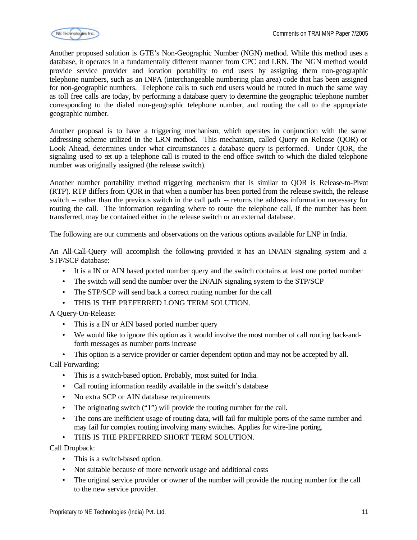

Another proposed solution is GTE's Non-Geographic Number (NGN) method. While this method uses a database, it operates in a fundamentally different manner from CPC and LRN. The NGN method would provide service provider and location portability to end users by assigning them non-geographic telephone numbers, such as an INPA (interchangeable numbering plan area) code that has been assigned for non-geographic numbers. Telephone calls to such end users would be routed in much the same way as toll free calls are today, by performing a database query to determine the geographic telephone number corresponding to the dialed non-geographic telephone number, and routing the call to the appropriate geographic number.

Another proposal is to have a triggering mechanism, which operates in conjunction with the same addressing scheme utilized in the LRN method. This mechanism, called Query on Release (QOR) or Look Ahead, determines under what circumstances a database query is performed. Under QOR, the signaling used to set up a telephone call is routed to the end office switch to which the dialed telephone number was originally assigned (the release switch).

Another number portability method triggering mechanism that is similar to QOR is Release-to-Pivot (RTP). RTP differs from QOR in that when a number has been ported from the release switch, the release switch -- rather than the previous switch in the call path -- returns the address information necessary for routing the call. The information regarding where to route the telephone call, if the number has been transferred, may be contained either in the release switch or an external database.

The following are our comments and observations on the various options available for LNP in India.

An All-Call-Query will accomplish the following provided it has an IN/AIN signaling system and a STP/SCP database:

- It is a IN or AIN based ported number query and the switch contains at least one ported number
- The switch will send the number over the IN/AIN signaling system to the STP/SCP
- The STP/SCP will send back a correct routing number for the call
- THIS IS THE PREFERRED LONG TERM SOLUTION.

A Query-On-Release:

- This is a IN or AIN based ported number query
- We would like to ignore this option as it would involve the most number of call routing back-andforth messages as number ports increase

• This option is a service provider or carrier dependent option and may not be accepted by all.

Call Forwarding:

- This is a switch-based option. Probably, most suited for India.
- Call routing information readily available in the switch's database
- No extra SCP or AIN database requirements
- The originating switch ("1") will provide the routing number for the call.
- The cons are inefficient usage of routing data, will fail for multiple ports of the same number and may fail for complex routing involving many switches. Applies for wire-line porting.
- THIS IS THE PREFERRED SHORT TERM SOLUTION.

Call Dropback:

- This is a switch-based option.
- Not suitable because of more network usage and additional costs
- The original service provider or owner of the number will provide the routing number for the call to the new service provider.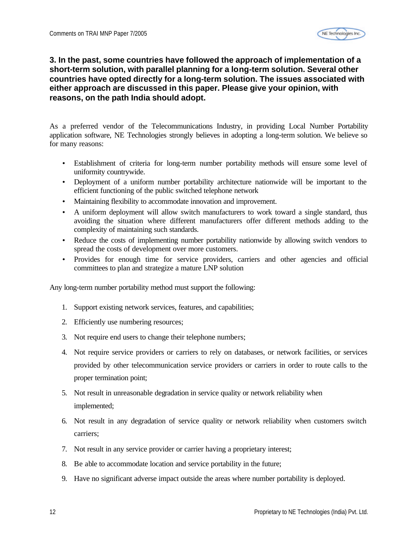

#### **3. In the past, some countries have followed the approach of implementation of a short-term solution, with parallel planning for a long-term solution. Several other countries have opted directly for a long-term solution. The issues associated with either approach are discussed in this paper. Please give your opinion, with reasons, on the path India should adopt.**

As a preferred vendor of the Telecommunications Industry, in providing Local Number Portability application software, NE Technologies strongly believes in adopting a long-term solution. We believe so for many reasons:

- Establishment of criteria for long-term number portability methods will ensure some level of uniformity countrywide.
- Deployment of a uniform number portability architecture nationwide will be important to the efficient functioning of the public switched telephone network
- Maintaining flexibility to accommodate innovation and improvement.
- A uniform deployment will allow switch manufacturers to work toward a single standard, thus avoiding the situation where different manufacturers offer different methods adding to the complexity of maintaining such standards.
- Reduce the costs of implementing number portability nationwide by allowing switch vendors to spread the costs of development over more customers.
- Provides for enough time for service providers, carriers and other agencies and official committees to plan and strategize a mature LNP solution

Any long-term number portability method must support the following:

- 1. Support existing network services, features, and capabilities;
- 2. Efficiently use numbering resources;
- 3. Not require end users to change their telephone numbers;
- 4. Not require service providers or carriers to rely on databases, or network facilities, or services provided by other telecommunication service providers or carriers in order to route calls to the proper termination point;
- 5. Not result in unreasonable degradation in service quality or network reliability when implemented;
- 6. Not result in any degradation of service quality or network reliability when customers switch carriers;
- 7. Not result in any service provider or carrier having a proprietary interest;
- 8. Be able to accommodate location and service portability in the future;
- 9. Have no significant adverse impact outside the areas where number portability is deployed.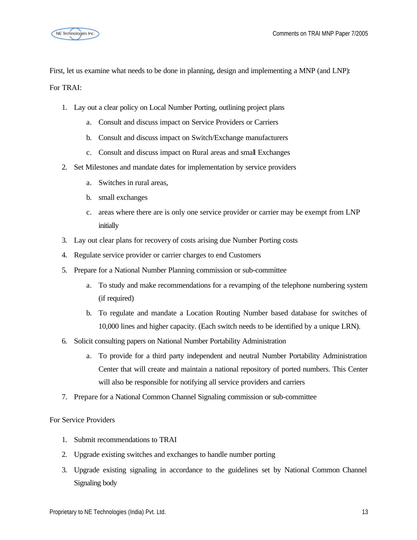

First, let us examine what needs to be done in planning, design and implementing a MNP (and LNP): For TRAI:

- 1. Lay out a clear policy on Local Number Porting, outlining project plans
	- a. Consult and discuss impact on Service Providers or Carriers
	- b. Consult and discuss impact on Switch/Exchange manufacturers
	- c. Consult and discuss impact on Rural areas and small Exchanges
- 2. Set Milestones and mandate dates for implementation by service providers
	- a. Switches in rural areas,
	- b. small exchanges
	- c. areas where there are is only one service provider or carrier may be exempt from LNP initially
- 3. Lay out clear plans for recovery of costs arising due Number Porting costs
- 4. Regulate service provider or carrier charges to end Customers
- 5. Prepare for a National Number Planning commission or sub-committee
	- a. To study and make recommendations for a revamping of the telephone numbering system (if required)
	- b. To regulate and mandate a Location Routing Number based database for switches of 10,000 lines and higher capacity. (Each switch needs to be identified by a unique LRN).
- 6. Solicit consulting papers on National Number Portability Administration
	- a. To provide for a third party independent and neutral Number Portability Administration Center that will create and maintain a national repository of ported numbers. This Center will also be responsible for notifying all service providers and carriers
- 7. Prepare for a National Common Channel Signaling commission or sub-committee

For Service Providers

- 1. Submit recommendations to TRAI
- 2. Upgrade existing switches and exchanges to handle number porting
- 3. Upgrade existing signaling in accordance to the guidelines set by National Common Channel Signaling body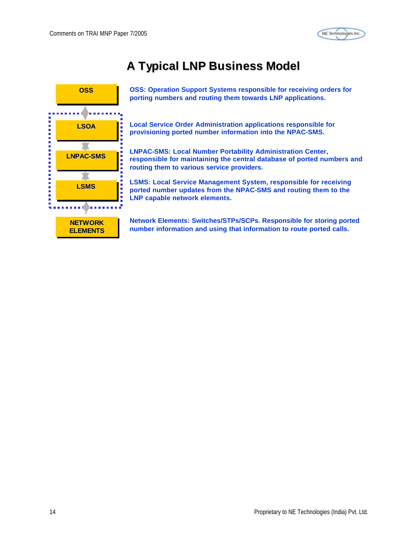

# **A Typical LNP Business Model**



**OSS: Operation Support Systems responsible for receiving orders for porting numbers and routing them towards LNP applications.**

**Local Service Order Administration applications responsible for provisioning ported number information into the NPAC-SMS.**

**LNPAC-SMS: Local Number Portability Administration Center, responsible for maintaining the central database of ported numbers and routing them to various service providers.**

**LSMS: Local Service Management System, responsible for receiving ported number updates from the NPAC-SMS and routing them to the LNP capable network elements.**

**NETWORK ELEMENTS** **Network Elements: Switches/STPs/SCPs. Responsible for storing ported number information and using that information to route ported calls.**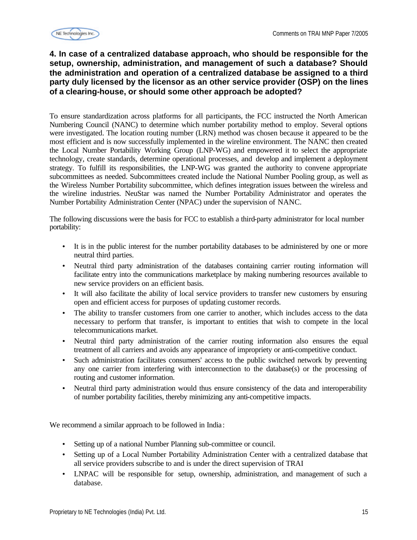### **4. In case of a centralized database approach, who should be responsible for the setup, ownership, administration, and management of such a database? Should the administration and operation of a centralized database be assigned to a third party duly licensed by the licensor as an other service provider (OSP) on the lines of a clearing-house, or should some other approach be adopted?**

To ensure standardization across platforms for all participants, the FCC instructed the North American Numbering Council (NANC) to determine which number portability method to employ. Several options were investigated. The location routing number (LRN) method was chosen because it appeared to be the most efficient and is now successfully implemented in the wireline environment. The NANC then created the Local Number Portability Working Group (LNP-WG) and empowered it to select the appropriate technology, create standards, determine operational processes, and develop and implement a deployment strategy. To fulfill its responsibilities, the LNP-WG was granted the authority to convene appropriate subcommittees as needed. Subcommittees created include the National Number Pooling group, as well as the Wireless Number Portability subcommittee, which defines integration issues between the wireless and the wireline industries. NeuStar was named the Number Portability Administrator and operates the Number Portability Administration Center (NPAC) under the supervision of NANC.

The following discussions were the basis for FCC to establish a third-party administrator for local number portability:

- It is in the public interest for the number portability databases to be administered by one or more neutral third parties.
- Neutral third party administration of the databases containing carrier routing information will facilitate entry into the communications marketplace by making numbering resources available to new service providers on an efficient basis.
- It will also facilitate the ability of local service providers to transfer new customers by ensuring open and efficient access for purposes of updating customer records.
- The ability to transfer customers from one carrier to another, which includes access to the data necessary to perform that transfer, is important to entities that wish to compete in the local telecommunications market.
- Neutral third party administration of the carrier routing information also ensures the equal treatment of all carriers and avoids any appearance of impropriety or anti-competitive conduct.
- Such administration facilitates consumers' access to the public switched network by preventing any one carrier from interfering with interconnection to the database(s) or the processing of routing and customer information.
- Neutral third party administration would thus ensure consistency of the data and interoperability of number portability facilities, thereby minimizing any anti-competitive impacts.

We recommend a similar approach to be followed in India:

- Setting up of a national Number Planning sub-committee or council.
- Setting up of a Local Number Portability Administration Center with a centralized database that all service providers subscribe to and is under the direct supervision of TRAI
- LNPAC will be responsible for setup, ownership, administration, and management of such a database.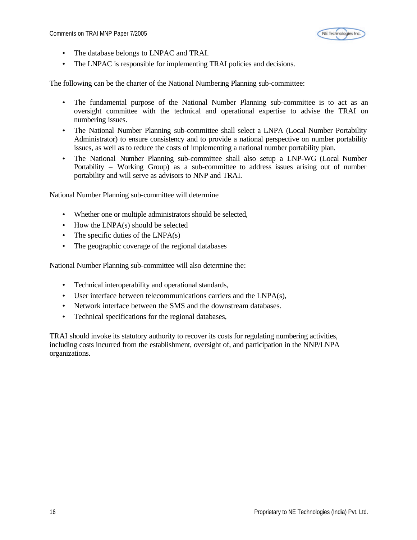

- The database belongs to LNPAC and TRAI.
- The LNPAC is responsible for implementing TRAI policies and decisions.

The following can be the charter of the National Numbering Planning sub-committee:

- The fundamental purpose of the National Number Planning sub-committee is to act as an oversight committee with the technical and operational expertise to advise the TRAI on numbering issues.
- The National Number Planning sub-committee shall select a LNPA (Local Number Portability Administrator) to ensure consistency and to provide a national perspective on number portability issues, as well as to reduce the costs of implementing a national number portability plan.
- The National Number Planning sub-committee shall also setup a LNP-WG (Local Number Portability – Working Group) as a sub-committee to address issues arising out of number portability and will serve as advisors to NNP and TRAI.

National Number Planning sub-committee will determine

- Whether one or multiple administrators should be selected,
- How the LNPA(s) should be selected
- The specific duties of the  $LNPA(s)$
- The geographic coverage of the regional databases

National Number Planning sub-committee will also determine the:

- Technical interoperability and operational standards,
- User interface between telecommunications carriers and the LNPA(s),
- Network interface between the SMS and the downstream databases.
- Technical specifications for the regional databases,

TRAI should invoke its statutory authority to recover its costs for regulating numbering activities, including costs incurred from the establishment, oversight of, and participation in the NNP/LNPA organizations.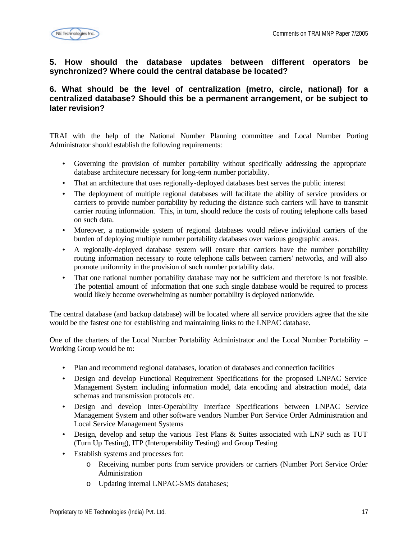

#### **5. How should the database updates between different operators be synchronized? Where could the central database be located?**

#### **6. What should be the level of centralization (metro, circle, national) for a centralized database? Should this be a permanent arrangement, or be subject to later revision?**

TRAI with the help of the National Number Planning committee and Local Number Porting Administrator should establish the following requirements:

- Governing the provision of number portability without specifically addressing the appropriate database architecture necessary for long-term number portability.
- That an architecture that uses regionally-deployed databases best serves the public interest
- The deployment of multiple regional databases will facilitate the ability of service providers or carriers to provide number portability by reducing the distance such carriers will have to transmit carrier routing information. This, in turn, should reduce the costs of routing telephone calls based on such data.
- Moreover, a nationwide system of regional databases would relieve individual carriers of the burden of deploying multiple number portability databases over various geographic areas.
- A regionally-deployed database system will ensure that carriers have the number portability routing information necessary to route telephone calls between carriers' networks, and will also promote uniformity in the provision of such number portability data.
- That one national number portability database may not be sufficient and therefore is not feasible. The potential amount of information that one such single database would be required to process would likely become overwhelming as number portability is deployed nationwide.

The central database (and backup database) will be located where all service providers agree that the site would be the fastest one for establishing and maintaining links to the LNPAC database.

One of the charters of the Local Number Portability Administrator and the Local Number Portability – Working Group would be to:

- Plan and recommend regional databases, location of databases and connection facilities
- Design and develop Functional Requirement Specifications for the proposed LNPAC Service Management System including information model, data encoding and abstraction model, data schemas and transmission protocols etc.
- Design and develop Inter-Operability Interface Specifications between LNPAC Service Management System and other software vendors Number Port Service Order Administration and Local Service Management Systems
- Design, develop and setup the various Test Plans & Suites associated with LNP such as TUT (Turn Up Testing), ITP (Interoperability Testing) and Group Testing
- Establish systems and processes for:
	- o Receiving number ports from service providers or carriers (Number Port Service Order Administration
	- o Updating internal LNPAC-SMS databases;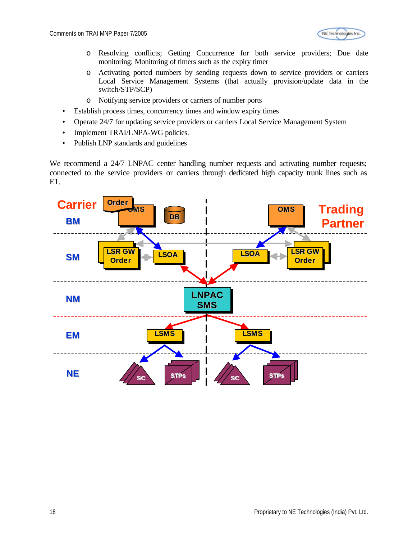

- o Resolving conflicts; Getting Concurrence for both service providers; Due date monitoring; Monitoring of timers such as the expiry timer
- o Activating ported numbers by sending requests down to service providers or carriers Local Service Management Systems (that actually provision/update data in the switch/STP/SCP)
- o Notifying service providers or carriers of number ports
- Establish process times, concurrency times and window expiry times
- Operate 24/7 for updating service providers or carriers Local Service Management System
- Implement TRAI/LNPA-WG policies.
- Publish LNP standards and guidelines

We recommend a 24/7 LNPAC center handling number requests and activating number requests; connected to the service providers or carriers through dedicated high capacity trunk lines such as E1.

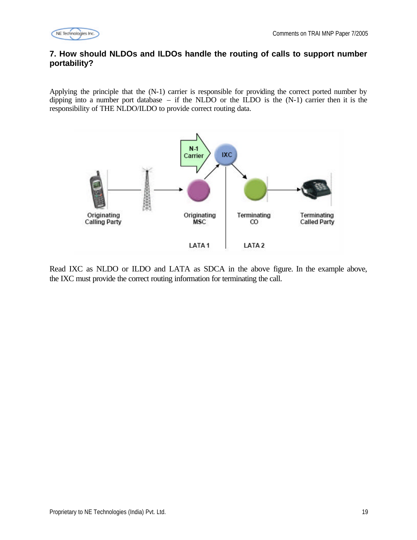

#### **7. How should NLDOs and ILDOs handle the routing of calls to support number portability?**

Applying the principle that the (N-1) carrier is responsible for providing the correct ported number by dipping into a number port database – if the NLDO or the ILDO is the (N-1) carrier then it is the responsibility of THE NLDO/ILDO to provide correct routing data.



Read IXC as NLDO or ILDO and LATA as SDCA in the above figure. In the example above, the IXC must provide the correct routing information for terminating the call.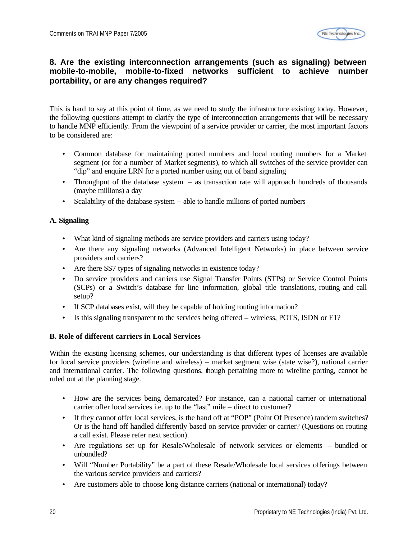

## **8. Are the existing interconnection arrangements (such as signaling) between mobile-to-mobile, mobile-to-fixed networks sufficient to achieve number portability, or are any changes required?**

This is hard to say at this point of time, as we need to study the infrastructure existing today. However, the following questions attempt to clarify the type of interconnection arrangements that will be necessary to handle MNP efficiently. From the viewpoint of a service provider or carrier, the most important factors to be considered are:

- Common database for maintaining ported numbers and local routing numbers for a Market segment (or for a number of Market segments), to which all switches of the service provider can "dip" and enquire LRN for a ported number using out of band signaling
- Throughput of the database system as transaction rate will approach hundreds of thousands (maybe millions) a day
- Scalability of the database system able to handle millions of ported numbers

#### **A. Signaling**

- What kind of signaling methods are service providers and carriers using today?
- Are there any signaling networks (Advanced Intelligent Networks) in place between service providers and carriers?
- Are there SS7 types of signaling networks in existence today?
- Do service providers and carriers use Signal Transfer Points (STPs) or Service Control Points (SCPs) or a Switch's database for line information, global title translations, routing and call setup?
- If SCP databases exist, will they be capable of holding routing information?
- Is this signaling transparent to the services being offered wireless, POTS, ISDN or E1?

#### **B. Role of different carriers in Local Services**

Within the existing licensing schemes, our understanding is that different types of licenses are available for local service providers (wireline and wireless) – market segment wise (state wise?), national carrier and international carrier. The following questions, though pertaining more to wireline porting, cannot be ruled out at the planning stage.

- How are the services being demarcated? For instance, can a national carrier or international carrier offer local services i.e. up to the "last" mile – direct to customer?
- If they cannot offer local services, is the hand off at "POP" (Point Of Presence) tandem switches? Or is the hand off handled differently based on service provider or carrier? (Questions on routing a call exist. Please refer next section).
- Are regulations set up for Resale/Wholesale of network services or elements bundled or unbundled?
- Will "Number Portability" be a part of these Resale/Wholesale local services offerings between the various service providers and carriers?
- Are customers able to choose long distance carriers (national or international) today?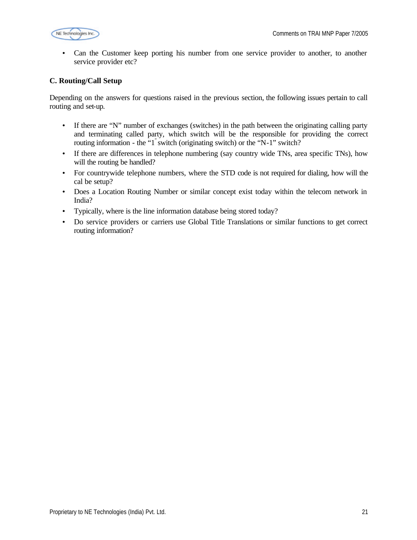

• Can the Customer keep porting his number from one service provider to another, to another service provider etc?

#### **C. Routing/Call Setup**

Depending on the answers for questions raised in the previous section, the following issues pertain to call routing and set-up.

- If there are "N" number of exchanges (switches) in the path between the originating calling party and terminating called party, which switch will be the responsible for providing the correct routing information - the "1" switch (originating switch) or the "N-1" switch?
- If there are differences in telephone numbering (say country wide TNs, area specific TNs), how will the routing be handled?
- For countrywide telephone numbers, where the STD code is not required for dialing, how will the cal be setup?
- Does a Location Routing Number or similar concept exist today within the telecom network in India?
- Typically, where is the line information database being stored today?
- Do service providers or carriers use Global Title Translations or similar functions to get correct routing information?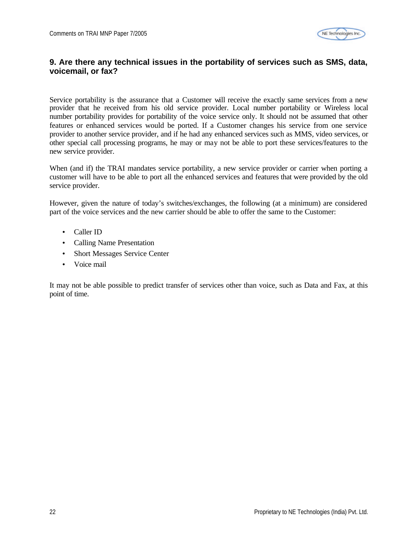

#### **9. Are there any technical issues in the portability of services such as SMS, data, voicemail, or fax?**

Service portability is the assurance that a Customer will receive the exactly same services from a new provider that he received from his old service provider. Local number portability or Wireless local number portability provides for portability of the voice service only. It should not be assumed that other features or enhanced services would be ported. If a Customer changes his service from one service provider to another service provider, and if he had any enhanced services such as MMS, video services, or other special call processing programs, he may or may not be able to port these services/features to the new service provider.

When (and if) the TRAI mandates service portability, a new service provider or carrier when porting a customer will have to be able to port all the enhanced services and features that were provided by the old service provider.

However, given the nature of today's switches/exchanges, the following (at a minimum) are considered part of the voice services and the new carrier should be able to offer the same to the Customer:

- Caller ID
- Calling Name Presentation
- Short Messages Service Center
- Voice mail

It may not be able possible to predict transfer of services other than voice, such as Data and Fax, at this point of time.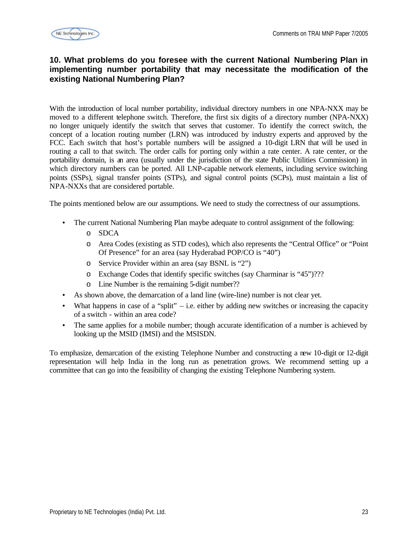

#### **10. What problems do you foresee with the current National Numbering Plan in implementing number portability that may necessitate the modification of the existing National Numbering Plan?**

With the introduction of local number portability, individual directory numbers in one NPA-NXX may be moved to a different telephone switch. Therefore, the first six digits of a directory number (NPA-NXX) no longer uniquely identify the switch that serves that customer. To identify the correct switch, the concept of a location routing number (LRN) was introduced by industry experts and approved by the FCC. Each switch that host's portable numbers will be assigned a 10-digit LRN that will be used in routing a call to that switch. The order calls for porting only within a rate center. A rate center, or the portability domain, is an area (usually under the jurisdiction of the state Public Utilities Commission) in which directory numbers can be ported. All LNP-capable network elements, including service switching points (SSPs), signal transfer points (STPs), and signal control points (SCPs), must maintain a list of NPA-NXXs that are considered portable.

The points mentioned below are our assumptions. We need to study the correctness of our assumptions.

- The current National Numbering Plan maybe adequate to control assignment of the following:
	- o SDCA
	- o Area Codes (existing as STD codes), which also represents the "Central Office" or "Point Of Presence" for an area (say Hyderabad POP/CO is "40")
	- o Service Provider within an area (say BSNL is "2")
	- o Exchange Codes that identify specific switches (say Charminar is "45")???
	- o Line Number is the remaining 5-digit number??
- As shown above, the demarcation of a land line (wire-line) number is not clear yet.
- What happens in case of a "split"  $-$  i.e. either by adding new switches or increasing the capacity of a switch - within an area code?
- The same applies for a mobile number; though accurate identification of a number is achieved by looking up the MSID (IMSI) and the MSISDN.

To emphasize, demarcation of the existing Telephone Number and constructing a new 10-digit or 12-digit representation will help India in the long run as penetration grows. We recommend setting up a committee that can go into the feasibility of changing the existing Telephone Numbering system.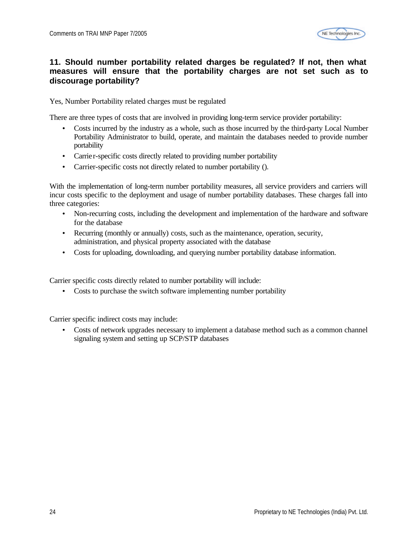

#### **11. Should number portability related charges be regulated? If not, then what measures will ensure that the portability charges are not set such as to discourage portability?**

Yes, Number Portability related charges must be regulated

There are three types of costs that are involved in providing long-term service provider portability:

- Costs incurred by the industry as a whole, such as those incurred by the third-party Local Number Portability Administrator to build, operate, and maintain the databases needed to provide number portability
- Carrier-specific costs directly related to providing number portability
- Carrier-specific costs not directly related to number portability ().

With the implementation of long-term number portability measures, all service providers and carriers will incur costs specific to the deployment and usage of number portability databases. These charges fall into three categories:

- Non-recurring costs, including the development and implementation of the hardware and software for the database
- Recurring (monthly or annually) costs, such as the maintenance, operation, security, administration, and physical property associated with the database
- Costs for uploading, downloading, and querying number portability database information.

Carrier specific costs directly related to number portability will include:

• Costs to purchase the switch software implementing number portability

Carrier specific indirect costs may include:

• Costs of network upgrades necessary to implement a database method such as a common channel signaling system and setting up SCP/STP databases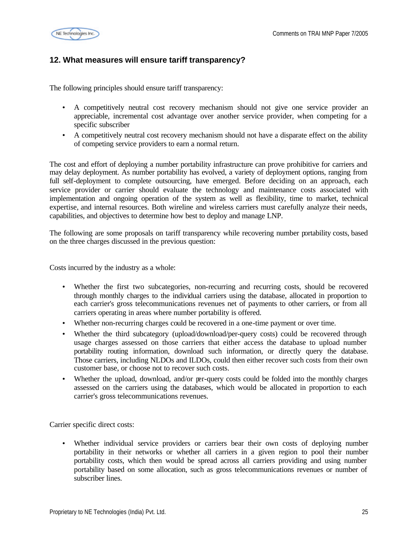

## **12. What measures will ensure tariff transparency?**

The following principles should ensure tariff transparency:

- A competitively neutral cost recovery mechanism should not give one service provider an appreciable, incremental cost advantage over another service provider, when competing for a specific subscriber
- A competitively neutral cost recovery mechanism should not have a disparate effect on the ability of competing service providers to earn a normal return.

The cost and effort of deploying a number portability infrastructure can prove prohibitive for carriers and may delay deployment. As number portability has evolved, a variety of deployment options, ranging from full self-deployment to complete outsourcing, have emerged. Before deciding on an approach, each service provider or carrier should evaluate the technology and maintenance costs associated with implementation and ongoing operation of the system as well as flexibility, time to market, technical expertise, and internal resources. Both wireline and wireless carriers must carefully analyze their needs, capabilities, and objectives to determine how best to deploy and manage LNP.

The following are some proposals on tariff transparency while recovering number portability costs, based on the three charges discussed in the previous question:

Costs incurred by the industry as a whole:

- Whether the first two subcategories, non-recurring and recurring costs, should be recovered through monthly charges to the individual carriers using the database, allocated in proportion to each carrier's gross telecommunications revenues net of payments to other carriers, or from all carriers operating in areas where number portability is offered.
- Whether non-recurring charges could be recovered in a one-time payment or over time.
- Whether the third subcategory (upload/download/per-query costs) could be recovered through usage charges assessed on those carriers that either access the database to upload number portability routing information, download such information, or directly query the database. Those carriers, including NLDOs and ILDOs, could then either recover such costs from their own customer base, or choose not to recover such costs.
- Whether the upload, download, and/or per-query costs could be folded into the monthly charges assessed on the carriers using the databases, which would be allocated in proportion to each carrier's gross telecommunications revenues.

Carrier specific direct costs:

• Whether individual service providers or carriers bear their own costs of deploying number portability in their networks or whether all carriers in a given region to pool their number portability costs, which then would be spread across all carriers providing and using number portability based on some allocation, such as gross telecommunications revenues or number of subscriber lines.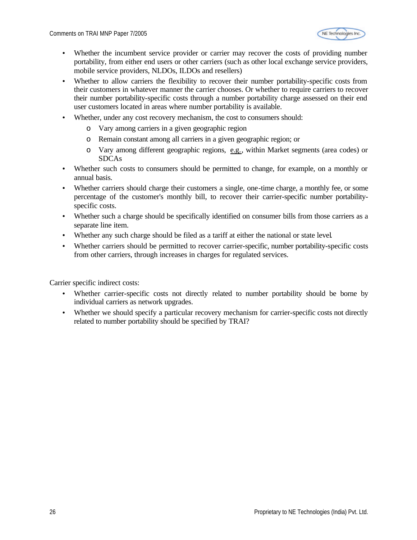

- Whether the incumbent service provider or carrier may recover the costs of providing number portability, from either end users or other carriers (such as other local exchange service providers, mobile service providers, NLDOs, ILDOs and resellers)
- Whether to allow carriers the flexibility to recover their number portability-specific costs from their customers in whatever manner the carrier chooses. Or whether to require carriers to recover their number portability-specific costs through a number portability charge assessed on their end user customers located in areas where number portability is available.
- Whether, under any cost recovery mechanism, the cost to consumers should:
	- o Vary among carriers in a given geographic region
	- o Remain constant among all carriers in a given geographic region; or
	- o Vary among different geographic regions, e.g., within Market segments (area codes) or SDCAs
- Whether such costs to consumers should be permitted to change, for example, on a monthly or annual basis.
- Whether carriers should charge their customers a single, one-time charge, a monthly fee, or some percentage of the customer's monthly bill, to recover their carrier-specific number portabilityspecific costs.
- Whether such a charge should be specifically identified on consumer bills from those carriers as a separate line item.
- Whether any such charge should be filed as a tariff at either the national or state level.
- Whether carriers should be permitted to recover carrier-specific, number portability-specific costs from other carriers, through increases in charges for regulated services.

Carrier specific indirect costs:

- Whether carrier-specific costs not directly related to number portability should be borne by individual carriers as network upgrades.
- Whether we should specify a particular recovery mechanism for carrier-specific costs not directly related to number portability should be specified by TRAI?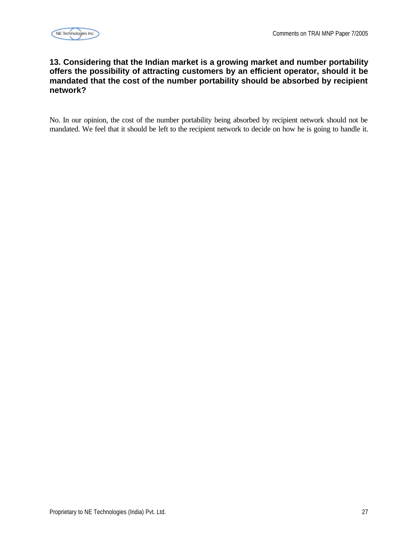#### **13. Considering that the Indian market is a growing market and number portability offers the possibility of attracting customers by an efficient operator, should it be mandated that the cost of the number portability should be absorbed by recipient network?**

No. In our opinion, the cost of the number portability being absorbed by recipient network should not be mandated. We feel that it should be left to the recipient network to decide on how he is going to handle it.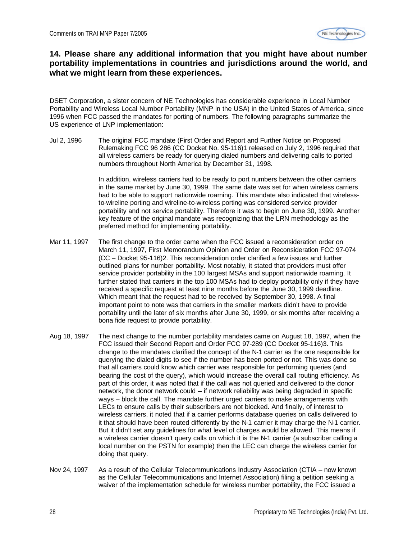

#### **14. Please share any additional information that you might have about number portability implementations in countries and jurisdictions around the world, and what we might learn from these experiences.**

DSET Corporation, a sister concern of NE Technologies has considerable experience in Local Number Portability and Wireless Local Number Portability (MNP in the USA) in the United States of America, since 1996 when FCC passed the mandates for porting of numbers. The following paragraphs summarize the US experience of LNP implementation:

Jul 2, 1996 The original FCC mandate (First Order and Report and Further Notice on Proposed Rulemaking FCC 96 286 (CC Docket No. 95-116)1 released on July 2, 1996 required that all wireless carriers be ready for querying dialed numbers and delivering calls to ported numbers throughout North America by December 31, 1998.

> In addition, wireless carriers had to be ready to port numbers between the other carriers in the same market by June 30, 1999. The same date was set for when wireless carriers had to be able to support nationwide roaming. This mandate also indicated that wirelessto-wireline porting and wireline-to-wireless porting was considered service provider portability and not service portability. Therefore it was to begin on June 30, 1999. Another key feature of the original mandate was recognizing that the LRN methodology as the preferred method for implementing portability.

- Mar 11, 1997 The first change to the order came when the FCC issued a reconsideration order on March 11, 1997, First Memorandum Opinion and Order on Reconsideration FCC 97-074 (CC – Docket 95-116)2. This reconsideration order clarified a few issues and further outlined plans for number portability. Most notably, it stated that providers must offer service provider portability in the 100 largest MSAs and support nationwide roaming. It further stated that carriers in the top 100 MSAs had to deploy portability only if they have received a specific request at least nine months before the June 30, 1999 deadline. Which meant that the request had to be received by September 30, 1998. A final important point to note was that carriers in the smaller markets didn't have to provide portability until the later of six months after June 30, 1999, or six months after receiving a bona fide request to provide portability.
- Aug 18, 1997 The next change to the number portability mandates came on August 18, 1997, when the FCC issued their Second Report and Order FCC 97-289 (CC Docket 95-116)3. This change to the mandates clarified the concept of the N-1 carrier as the one responsible for querying the dialed digits to see if the number has been ported or not. This was done so that all carriers could know which carrier was responsible for performing queries (and bearing the cost of the query), which would increase the overall call routing efficiency. As part of this order, it was noted that if the call was not queried and delivered to the donor network, the donor network could – if network reliability was being degraded in specific ways – block the call. The mandate further urged carriers to make arrangements with LECs to ensure calls by their subscribers are not blocked. And finally, of interest to wireless carriers, it noted that if a carrier performs database queries on calls delivered to it that should have been routed differently by the N-1 carrier it may charge the N-1 carrier. But it didn't set any guidelines for what level of charges would be allowed. This means if a wireless carrier doesn't query calls on which it is the N-1 carrier (a subscriber calling a local number on the PSTN for example) then the LEC can charge the wireless carrier for doing that query.
- Nov 24, 1997 As a result of the Cellular Telecommunications Industry Association (CTIA now known as the Cellular Telecommunications and Internet Association) filing a petition seeking a waiver of the implementation schedule for wireless number portability, the FCC issued a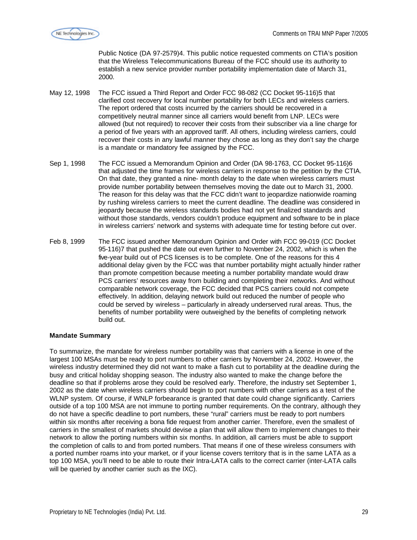

Public Notice (DA 97-2579)4. This public notice requested comments on CTIA's position that the Wireless Telecommunications Bureau of the FCC should use its authority to establish a new service provider number portability implementation date of March 31, 2000.

- May 12, 1998 The FCC issued a Third Report and Order FCC 98-082 (CC Docket 95-116)5 that clarified cost recovery for local number portability for both LECs and wireless carriers. The report ordered that costs incurred by the carriers should be recovered in a competitively neutral manner since all carriers would benefit from LNP. LECs were allowed (but not required) to recover their costs from their subscriber via a line charge for a period of five years with an approved tariff. All others, including wireless carriers, could recover their costs in any lawful manner they chose as long as they don't say the charge is a mandate or mandatory fee assigned by the FCC.
- Sep 1, 1998 The FCC issued a Memorandum Opinion and Order (DA 98-1763, CC Docket 95-116)6 that adjusted the time frames for wireless carriers in response to the petition by the CTIA. On that date, they granted a nine- month delay to the date when wireless carriers must provide number portability between themselves moving the date out to March 31, 2000. The reason for this delay was that the FCC didn't want to jeopardize nationwide roaming by rushing wireless carriers to meet the current deadline. The deadline was considered in jeopardy because the wireless standards bodies had not yet finalized standards and without those standards, vendors couldn't produce equipment and software to be in place in wireless carriers' network and systems with adequate time for testing before cut over.
- Feb 8, 1999 The FCC issued another Memorandum Opinion and Order with FCC 99-019 (CC Docket 95-116)7 that pushed the date out even further to November 24, 2002, which is when the five-year build out of PCS licenses is to be complete. One of the reasons for this 4 additional delay given by the FCC was that number portability might actually hinder rather than promote competition because meeting a number portability mandate would draw PCS carriers' resources away from building and completing their networks. And without comparable network coverage, the FCC decided that PCS carriers could not compete effectively. In addition, delaying network build out reduced the number of people who could be served by wireless – particularly in already underserved rural areas. Thus, the benefits of number portability were outweighed by the benefits of completing network build out.

#### **Mandate Summary**

To summarize, the mandate for wireless number portability was that carriers with a license in one of the largest 100 MSAs must be ready to port numbers to other carriers by November 24, 2002. However, the wireless industry determined they did not want to make a flash cut to portability at the deadline during the busy and critical holiday shopping season. The industry also wanted to make the change before the deadline so that if problems arose they could be resolved early. Therefore, the industry set September 1, 2002 as the date when wireless carriers should begin to port numbers with other carriers as a test of the WLNP system. Of course, if WNLP forbearance is granted that date could change significantly. Carriers outside of a top 100 MSA are not immune to porting number requirements. On the contrary, although they do not have a specific deadline to port numbers, these "rural" carriers must be ready to port numbers within six months after receiving a bona fide request from another carrier. Therefore, even the smallest of carriers in the smallest of markets should devise a plan that will allow them to implement changes to their network to allow the porting numbers within six months. In addition, all carriers must be able to support the completion of calls to and from ported numbers. That means if one of these wireless consumers with a ported number roams into your market, or if your license covers territory that is in the same LATA as a top 100 MSA, you'll need to be able to route their Intra-LATA calls to the correct carrier (inter-LATA calls will be queried by another carrier such as the IXC).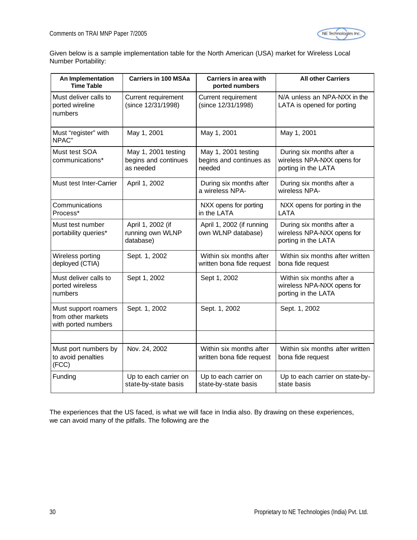

Given below is a sample implementation table for the North American (USA) market for Wireless Local Number Portability:

| An Implementation<br><b>Time Table</b>                            | <b>Carriers in 100 MSAa</b>                              | Carriers in area with<br>ported numbers                  | <b>All other Carriers</b>                                                      |
|-------------------------------------------------------------------|----------------------------------------------------------|----------------------------------------------------------|--------------------------------------------------------------------------------|
| Must deliver calls to<br>ported wireline<br>numbers               | <b>Current requirement</b><br>(since 12/31/1998)         | <b>Current requirement</b><br>(since 12/31/1998)         | N/A unless an NPA-NXX in the<br>LATA is opened for porting                     |
| Must "register" with<br>NPAC"                                     | May 1, 2001                                              | May 1, 2001                                              | May 1, 2001                                                                    |
| Must test SOA<br>communications*                                  | May 1, 2001 testing<br>begins and continues<br>as needed | May 1, 2001 testing<br>begins and continues as<br>needed | During six months after a<br>wireless NPA-NXX opens for<br>porting in the LATA |
| Must test Inter-Carrier                                           | April 1, 2002                                            | During six months after<br>a wireless NPA-               | During six months after a<br>wireless NPA-                                     |
| Communications<br>Process*                                        |                                                          | NXX opens for porting<br>in the LATA                     | NXX opens for porting in the<br>LATA                                           |
| Must test number<br>portability queries*                          | April 1, 2002 (if<br>running own WLNP<br>database)       | April 1, 2002 (if running<br>own WLNP database)          | During six months after a<br>wireless NPA-NXX opens for<br>porting in the LATA |
| Wireless porting<br>deployed (CTIA)                               | Sept. 1, 2002                                            | Within six months after<br>written bona fide request     | Within six months after written<br>bona fide request                           |
| Must deliver calls to<br>ported wireless<br>numbers               | Sept 1, 2002                                             | Sept 1, 2002                                             | Within six months after a<br>wireless NPA-NXX opens for<br>porting in the LATA |
| Must support roamers<br>from other markets<br>with ported numbers | Sept. 1, 2002                                            | Sept. 1, 2002                                            | Sept. 1, 2002                                                                  |
|                                                                   |                                                          |                                                          |                                                                                |
| Must port numbers by<br>to avoid penalties<br>(FCC)               | Nov. 24, 2002                                            | Within six months after<br>written bona fide request     | Within six months after written<br>bona fide request                           |
| Funding                                                           | Up to each carrier on<br>state-by-state basis            | Up to each carrier on<br>state-by-state basis            | Up to each carrier on state-by-<br>state basis                                 |

The experiences that the US faced, is what we will face in India also. By drawing on these experiences, we can avoid many of the pitfalls. The following are the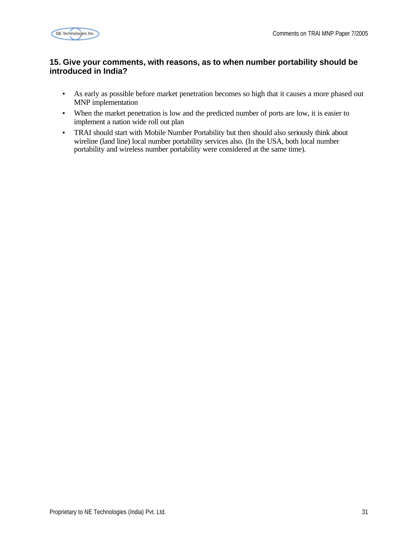

#### **15. Give your comments, with reasons, as to when number portability should be introduced in India?**

- As early as possible before market penetration becomes so high that it causes a more phased out MNP implementation
- When the market penetration is low and the predicted number of ports are low, it is easier to implement a nation wide roll out plan
- TRAI should start with Mobile Number Portability but then should also seriously think about wireline (land line) local number portability services also. (In the USA, both local number portability and wireless number portability were considered at the same time).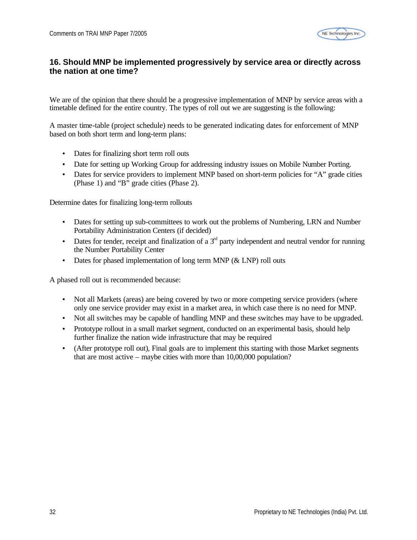

#### **16. Should MNP be implemented progressively by service area or directly across the nation at one time?**

We are of the opinion that there should be a progressive implementation of MNP by service areas with a timetable defined for the entire country. The types of roll out we are suggesting is the following:

A master time-table (project schedule) needs to be generated indicating dates for enforcement of MNP based on both short term and long-term plans:

- Dates for finalizing short term roll outs
- Date for setting up Working Group for addressing industry issues on Mobile Number Porting.
- Dates for service providers to implement MNP based on short-term policies for "A" grade cities (Phase 1) and "B" grade cities (Phase 2).

Determine dates for finalizing long-term rollouts

- Dates for setting up sub-committees to work out the problems of Numbering, LRN and Number Portability Administration Centers (if decided)
- Dates for tender, receipt and finalization of a  $3<sup>rd</sup>$  party independent and neutral vendor for running the Number Portability Center
- Dates for phased implementation of long term MNP (& LNP) roll outs

A phased roll out is recommended because:

- Not all Markets (areas) are being covered by two or more competing service providers (where only one service provider may exist in a market area, in which case there is no need for MNP.
- Not all switches may be capable of handling MNP and these switches may have to be upgraded.
- Prototype rollout in a small market segment, conducted on an experimental basis, should help further finalize the nation wide infrastructure that may be required
- (After prototype roll out), Final goals are to implement this starting with those Market segments that are most active – maybe cities with more than 10,00,000 population?